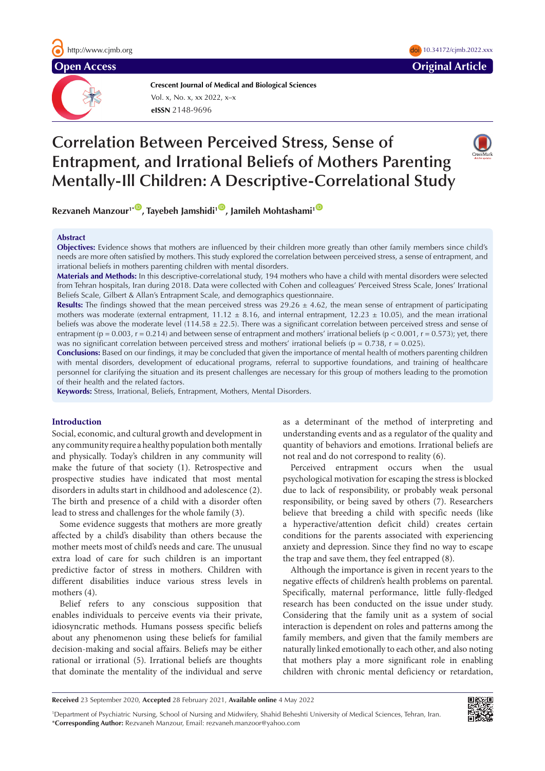

**Crescent Journal of Medical and Biological Sciences eISSN** 2148-9696 Vol. x, No. x, xx 2022, x–x

# **Correlation Between Perceived Stress, Sense of Entrapment, and Irrational Beliefs of Mothers Parenting Mentally-Ill Children: A Descriptive-Correlational Study**



 $10.34172$ /cjmb.2022.xxx

**Rezvaneh Manzour<sup>1\*</sup><sup>1</sup>, Tayebeh Jamshidi<sup>1</sup><sup>(0</sup>, Jamileh Mohtashami<sup>1</sup><sup>(0</sup>)** 

## **Abstract**

**Objectives:** Evidence shows that mothers are influenced by their children more greatly than other family members since child's needs are more often satisfied by mothers. This study explored the correlation between perceived stress, a sense of entrapment, and irrational beliefs in mothers parenting children with mental disorders.

**Materials and Methods:** In this descriptive-correlational study, 194 mothers who have a child with mental disorders were selected from Tehran hospitals, Iran during 2018. Data were collected with Cohen and colleagues' Perceived Stress Scale, Jones' Irrational Beliefs Scale, Gilbert & Allan's Entrapment Scale, and demographics questionnaire.

**Results:** The findings showed that the mean perceived stress was  $29.26 \pm 4.62$ , the mean sense of entrapment of participating mothers was moderate (external entrapment,  $11.12 \pm 8.16$ , and internal entrapment,  $12.23 \pm 10.05$ ), and the mean irrational beliefs was above the moderate level (114.58  $\pm$  22.5). There was a significant correlation between perceived stress and sense of entrapment ( $p = 0.003$ ,  $r = 0.214$ ) and between sense of entrapment and mothers' irrational beliefs ( $p < 0.001$ ,  $r = 0.573$ ); yet, there was no significant correlation between perceived stress and mothers' irrational beliefs ( $p = 0.738$ ,  $r = 0.025$ ).

**Conclusions:** Based on our findings, it may be concluded that given the importance of mental health of mothers parenting children with mental disorders, development of educational programs, referral to supportive foundations, and training of healthcare personnel for clarifying the situation and its present challenges are necessary for this group of mothers leading to the promotion of their health and the related factors.

**Keywords:** Stress, Irrational, Beliefs, Entrapment, Mothers, Mental Disorders.

# **Introduction**

Social, economic, and cultural growth and development in any community require a healthy population both mentally and physically. Today's children in any community will make the future of that society (1). Retrospective and prospective studies have indicated that most mental disorders in adults start in childhood and adolescence (2). The birth and presence of a child with a disorder often lead to stress and challenges for the whole family (3).

Some evidence suggests that mothers are more greatly affected by a child's disability than others because the mother meets most of child's needs and care. The unusual extra load of care for such children is an important predictive factor of stress in mothers. Children with different disabilities induce various stress levels in mothers (4).

Belief refers to any conscious supposition that enables individuals to perceive events via their private, idiosyncratic methods. Humans possess specific beliefs about any phenomenon using these beliefs for familial decision-making and social affairs. Beliefs may be either rational or irrational (5). Irrational beliefs are thoughts that dominate the mentality of the individual and serve as a determinant of the method of interpreting and understanding events and as a regulator of the quality and quantity of behaviors and emotions. Irrational beliefs are not real and do not correspond to reality (6).

Perceived entrapment occurs when the usual psychological motivation for escaping the stress is blocked due to lack of responsibility, or probably weak personal responsibility, or being saved by others (7). Researchers believe that breeding a child with specific needs (like a hyperactive/attention deficit child) creates certain conditions for the parents associated with experiencing anxiety and depression. Since they find no way to escape the trap and save them, they feel entrapped (8).

Although the importance is given in recent years to the negative effects of children's health problems on parental. Specifically, maternal performance, little fully-fledged research has been conducted on the issue under study. Considering that the family unit as a system of social interaction is dependent on roles and patterns among the family members, and given that the family members are naturally linked emotionally to each other, and also noting that mothers play a more significant role in enabling children with chronic mental deficiency or retardation,

**Received** 23 September 2020, **Accepted** 28 February 2021, **Available online** 4 May 2022

1 Department of Psychiatric Nursing, School of Nursing and Midwifery, Shahid Beheshti University of Medical Sciences, Tehran, Iran. \***Corresponding Author:** Rezvaneh Manzour, Email: rezvaneh.manzoor@yahoo.com

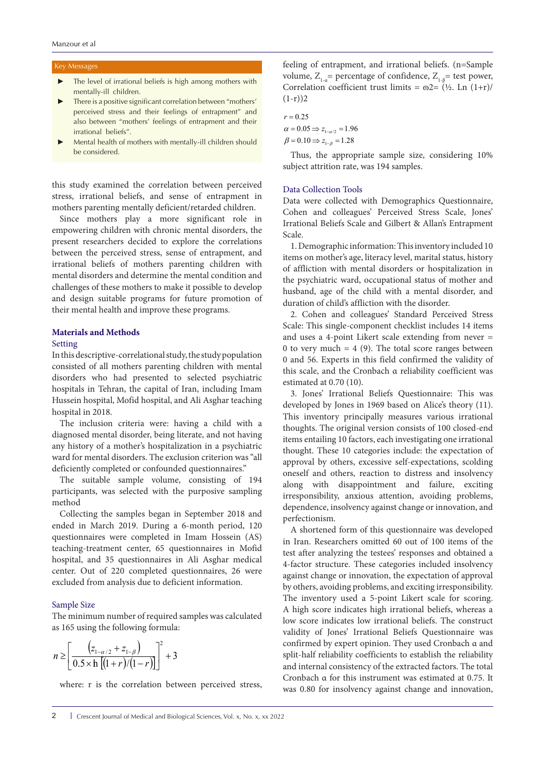# Key Messages

- The level of irrational beliefs is high among mothers with mentally-ill children.
- There is a positive significant correlation between "mothers' perceived stress and their feelings of entrapment" and also between "mothers' feelings of entrapment and their irrational beliefs".
- Mental health of mothers with mentally-ill children should be considered.

this study examined the correlation between perceived stress, irrational beliefs, and sense of entrapment in mothers parenting mentally deficient/retarded children.

Since mothers play a more significant role in empowering children with chronic mental disorders, the present researchers decided to explore the correlations between the perceived stress, sense of entrapment, and irrational beliefs of mothers parenting children with mental disorders and determine the mental condition and challenges of these mothers to make it possible to develop and design suitable programs for future promotion of their mental health and improve these programs.

# **Materials and Methods**

# Setting

In this descriptive-correlational study, the study population consisted of all mothers parenting children with mental disorders who had presented to selected psychiatric hospitals in Tehran, the capital of Iran, including Imam Hussein hospital, Mofid hospital, and Ali Asghar teaching hospital in 2018.

The inclusion criteria were: having a child with a diagnosed mental disorder, being literate, and not having any history of a mother's hospitalization in a psychiatric ward for mental disorders. The exclusion criterion was "all deficiently completed or confounded questionnaires."

The suitable sample volume, consisting of 194 participants, was selected with the purposive sampling method

Collecting the samples began in September 2018 and ended in March 2019. During a 6-month period, 120 questionnaires were completed in Imam Hossein (AS) teaching-treatment center, 65 questionnaires in Mofid hospital, and 35 questionnaires in Ali Asghar medical center. Out of 220 completed questionnaires, 26 were excluded from analysis due to deficient information.

# Sample Size

The minimum number of required samples was calculated as 165 using the following formula:

$$
n \ge \left[ \frac{\left( z_{1-\alpha/2} + z_{1-\beta} \right)}{0.5 \times \text{h} \left[ (1+r)/(1-r) \right]} \right]^2 + 3
$$

where: r is the correlation between perceived stress,

feeling of entrapment, and irrational beliefs. (n=Sample volume,  $Z_{1a}$ = percentage of confidence,  $Z_{1a}$ = test power, Correlation coefficient trust limits =  $\omega$ 2= (½. Ln (1+r)/  $(1-r)$ )2

$$
r = 0.25
$$
  
\n
$$
\alpha = 0.05 \Rightarrow z_{1-\alpha/2} = 1.96
$$
  
\n
$$
\beta = 0.10 \Rightarrow z_{1-\beta} = 1.28
$$

Thus, the appropriate sample size, considering 10% subject attrition rate, was 194 samples.

## Data Collection Tools

Data were collected with Demographics Questionnaire, Cohen and colleagues' Perceived Stress Scale, Jones' Irrational Beliefs Scale and Gilbert & Allan's Entrapment Scale.

1. Demographic information: This inventory included 10 items on mother's age, literacy level, marital status, history of affliction with mental disorders or hospitalization in the psychiatric ward, occupational status of mother and husband, age of the child with a mental disorder, and duration of child's affliction with the disorder.

2. Cohen and colleagues' Standard Perceived Stress Scale: This single-component checklist includes 14 items and uses a 4-point Likert scale extending from never = 0 to very much  $= 4$  (9). The total score ranges between 0 and 56. Experts in this field confirmed the validity of this scale, and the Cronbach α reliability coefficient was estimated at 0.70 (10).

3. Jones' Irrational Beliefs Questionnaire: This was developed by Jones in 1969 based on Alice's theory (11). This inventory principally measures various irrational thoughts. The original version consists of 100 closed-end items entailing 10 factors, each investigating one irrational thought. These 10 categories include: the expectation of approval by others, excessive self-expectations, scolding oneself and others, reaction to distress and insolvency along with disappointment and failure, exciting irresponsibility, anxious attention, avoiding problems, dependence, insolvency against change or innovation, and perfectionism.

A shortened form of this questionnaire was developed in Iran. Researchers omitted 60 out of 100 items of the test after analyzing the testees' responses and obtained a 4-factor structure. These categories included insolvency against change or innovation, the expectation of approval by others, avoiding problems, and exciting irresponsibility. The inventory used a 5-point Likert scale for scoring. A high score indicates high irrational beliefs, whereas a low score indicates low irrational beliefs. The construct validity of Jones' Irrational Beliefs Questionnaire was confirmed by expert opinion. They used Cronbach α and split-half reliability coefficients to establish the reliability and internal consistency of the extracted factors. The total Cronbach α for this instrument was estimated at 0.75. It was 0.80 for insolvency against change and innovation,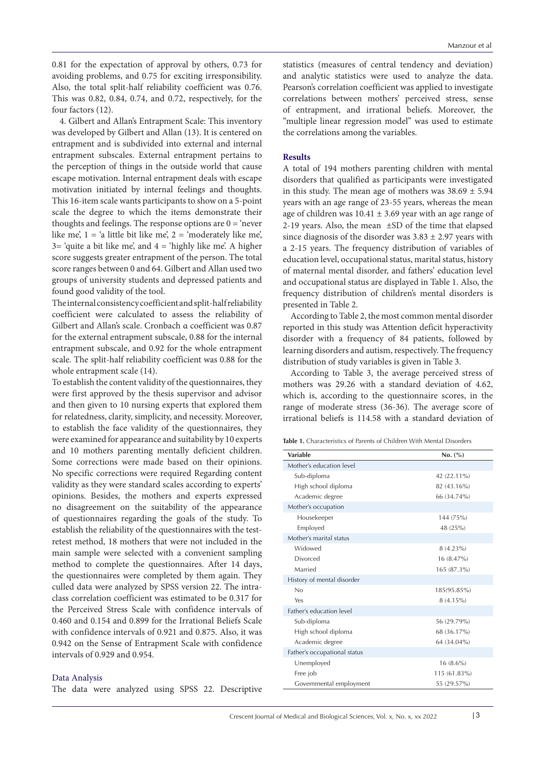0.81 for the expectation of approval by others, 0.73 for avoiding problems, and 0.75 for exciting irresponsibility. Also, the total split-half reliability coefficient was 0.76. This was 0.82, 0.84, 0.74, and 0.72, respectively, for the four factors (12).

4. Gilbert and Allan's Entrapment Scale: This inventory was developed by Gilbert and Allan (13). It is centered on entrapment and is subdivided into external and internal entrapment subscales. External entrapment pertains to the perception of things in the outside world that cause escape motivation. Internal entrapment deals with escape motivation initiated by internal feelings and thoughts. This 16-item scale wants participants to show on a 5-point scale the degree to which the items demonstrate their thoughts and feelings. The response options are  $0 = 'n$ ever like me',  $1 = 'a$  little bit like me',  $2 = 'moderately$  like me',  $3=$  'quite a bit like me', and  $4=$  'highly like me'. A higher score suggests greater entrapment of the person. The total score ranges between 0 and 64. Gilbert and Allan used two groups of university students and depressed patients and found good validity of the tool.

The internal consistency coefficient and split-half reliability coefficient were calculated to assess the reliability of Gilbert and Allan's scale. Cronbach α coefficient was 0.87 for the external entrapment subscale, 0.88 for the internal entrapment subscale, and 0.92 for the whole entrapment scale. The split-half reliability coefficient was 0.88 for the whole entrapment scale (14).

To establish the content validity of the questionnaires, they were first approved by the thesis supervisor and advisor and then given to 10 nursing experts that explored them for relatedness, clarity, simplicity, and necessity. Moreover, to establish the face validity of the questionnaires, they were examined for appearance and suitability by 10 experts and 10 mothers parenting mentally deficient children. Some corrections were made based on their opinions. No specific corrections were required Regarding content validity as they were standard scales according to experts' opinions. Besides, the mothers and experts expressed no disagreement on the suitability of the appearance of questionnaires regarding the goals of the study. To establish the reliability of the questionnaires with the testretest method, 18 mothers that were not included in the main sample were selected with a convenient sampling method to complete the questionnaires. After 14 days, the questionnaires were completed by them again. They culled data were analyzed by SPSS version 22. The intraclass correlation coefficient was estimated to be 0.317 for the Perceived Stress Scale with confidence intervals of 0.460 and 0.154 and 0.899 for the Irrational Beliefs Scale with confidence intervals of 0.921 and 0.875. Also, it was 0.942 on the Sense of Entrapment Scale with confidence intervals of 0.929 and 0.954.

## Data Analysis

The data were analyzed using SPSS 22. Descriptive

statistics (measures of central tendency and deviation) and analytic statistics were used to analyze the data. Pearson's correlation coefficient was applied to investigate correlations between mothers' perceived stress, sense of entrapment, and irrational beliefs. Moreover, the "multiple linear regression model" was used to estimate the correlations among the variables.

# **Results**

A total of 194 mothers parenting children with mental disorders that qualified as participants were investigated in this study. The mean age of mothers was  $38.69 \pm 5.94$ years with an age range of 23-55 years, whereas the mean age of children was  $10.41 \pm 3.69$  year with an age range of 2-19 years. Also, the mean ±SD of the time that elapsed since diagnosis of the disorder was  $3.83 \pm 2.97$  years with a 2-15 years. The frequency distribution of variables of education level, occupational status, marital status, history of maternal mental disorder, and fathers' education level and occupational status are displayed in Table 1. Also, the frequency distribution of children's mental disorders is presented in Table 2.

According to Table 2, the most common mental disorder reported in this study was Attention deficit hyperactivity disorder with a frequency of 84 patients, followed by learning disorders and autism, respectively. The frequency distribution of study variables is given in Table 3.

According to Table 3, the average perceived stress of mothers was 29.26 with a standard deviation of 4.62, which is, according to the questionnaire scores, in the range of moderate stress (36-36). The average score of irrational beliefs is 114.58 with a standard deviation of

| <b>Table 1.</b> Characteristics of Parents of Children With Mental Disorders |  |
|------------------------------------------------------------------------------|--|
|------------------------------------------------------------------------------|--|

| Variable                     | No. (%)      |
|------------------------------|--------------|
| Mother's education level     |              |
| Sub-diploma                  | 42 (22.11%)  |
| High school diploma          | 82 (43.16%)  |
| Academic degree              | 66 (34.74%)  |
| Mother's occupation          |              |
| Housekeeper                  | 144 (75%)    |
| Employed                     | 48 (25%)     |
| Mother's marital status      |              |
| Widowed                      | $8(4.23\%)$  |
| Divorced                     | 16 (8.47%)   |
| Married                      | 165 (87.3%)  |
| History of mental disorder   |              |
| No                           | 185(95.85%)  |
| Yes                          | 8 (4.15%)    |
| Father's education level     |              |
| Sub-diploma                  | 56 (29.79%)  |
| High school diploma          | 68 (36.17%)  |
| Academic degree              | 64 (34.04%)  |
| Father's occupational status |              |
| Unemployed                   | $16(8.6\%)$  |
| Free job                     | 115 (61.83%) |
| Governmental employment      | 55 (29.57%)  |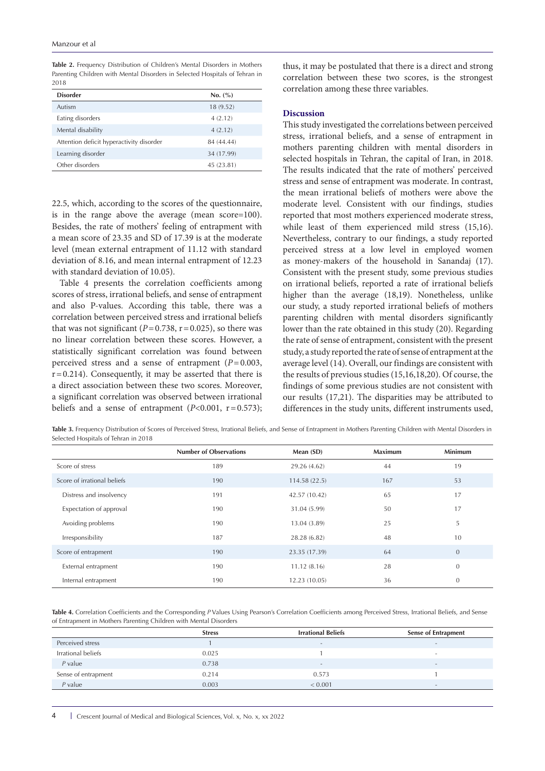**Table 2.** Frequency Distribution of Children's Mental Disorders in Mothers Parenting Children with Mental Disorders in Selected Hospitals of Tehran in  $2018$ 

| <b>Disorder</b>                          | No. (%)    |
|------------------------------------------|------------|
| Autism                                   | 18 (9.52)  |
| Eating disorders                         | 4(2.12)    |
| Mental disability                        | 4(2.12)    |
| Attention deficit hyperactivity disorder | 84 (44.44) |
| Learning disorder                        | 34 (17.99) |
| Other disorders                          | 45 (23.81) |

22.5, which, according to the scores of the questionnaire, is in the range above the average (mean score=100). Besides, the rate of mothers' feeling of entrapment with a mean score of 23.35 and SD of 17.39 is at the moderate level (mean external entrapment of 11.12 with standard deviation of 8.16, and mean internal entrapment of 12.23 with standard deviation of 10.05).

Table 4 presents the correlation coefficients among scores of stress, irrational beliefs, and sense of entrapment and also P-values. According this table, there was a correlation between perceived stress and irrational beliefs that was not significant  $(P=0.738, r=0.025)$ , so there was no linear correlation between these scores. However, a statistically significant correlation was found between perceived stress and a sense of entrapment (*P*=0.003,  $r=0.214$ ). Consequently, it may be asserted that there is a direct association between these two scores. Moreover, a significant correlation was observed between irrational beliefs and a sense of entrapment  $(P<0.001, r=0.573)$ ;

thus, it may be postulated that there is a direct and strong correlation between these two scores, is the strongest correlation among these three variables.

## **Discussion**

This study investigated the correlations between perceived stress, irrational beliefs, and a sense of entrapment in mothers parenting children with mental disorders in selected hospitals in Tehran, the capital of Iran, in 2018. The results indicated that the rate of mothers' perceived stress and sense of entrapment was moderate. In contrast, the mean irrational beliefs of mothers were above the moderate level. Consistent with our findings, studies reported that most mothers experienced moderate stress, while least of them experienced mild stress (15,16). Nevertheless, contrary to our findings, a study reported perceived stress at a low level in employed women as money-makers of the household in Sanandaj (17). Consistent with the present study, some previous studies on irrational beliefs, reported a rate of irrational beliefs higher than the average (18,19). Nonetheless, unlike our study, a study reported irrational beliefs of mothers parenting children with mental disorders significantly lower than the rate obtained in this study (20). Regarding the rate of sense of entrapment, consistent with the present study, a study reported the rate of sense of entrapment at the average level (14). Overall, our findings are consistent with the results of previous studies (15,16,18,20). Of course, the findings of some previous studies are not consistent with our results (17,21). The disparities may be attributed to differences in the study units, different instruments used,

Table 3. Frequency Distribution of Scores of Perceived Stress, Irrational Beliefs, and Sense of Entrapment in Mothers Parenting Children with Mental Disorders in Selected Hospitals of Tehran in 2018

|                             | <b>Number of Observations</b> | Mean (SD)     | <b>Maximum</b> | Minimum        |
|-----------------------------|-------------------------------|---------------|----------------|----------------|
| Score of stress             | 189                           | 29.26 (4.62)  | 44             | 19             |
| Score of irrational beliefs | 190                           | 114.58(22.5)  | 167            | 53             |
| Distress and insolvency     | 191                           | 42.57 (10.42) | 65             | 17             |
| Expectation of approval     | 190                           | 31.04 (5.99)  | 50             | 17             |
| Avoiding problems           | 190                           | 13.04 (3.89)  | 25             | 5              |
| Irresponsibility            | 187                           | 28.28 (6.82)  | 48             | 10             |
| Score of entrapment         | 190                           | 23.35 (17.39) | 64             | $\overline{0}$ |
| External entrapment         | 190                           | 11.12(8.16)   | 28             | $\overline{0}$ |
| Internal entrapment         | 190                           | 12.23 (10.05) | 36             | $\mathbf{0}$   |

**Table 4.** Correlation Coefficients and the Corresponding *P* Values Using Pearson's Correlation Coefficients among Perceived Stress, Irrational Beliefs, and Sense of Entrapment in Mothers Parenting Children with Mental Disorders

|                     | <b>Stress</b> | <b>Irrational Beliefs</b> | <b>Sense of Entrapment</b> |
|---------------------|---------------|---------------------------|----------------------------|
| Perceived stress    |               | $\overline{\phantom{0}}$  | $\overline{\phantom{0}}$   |
| Irrational beliefs  | 0.025         |                           | $\overline{\phantom{0}}$   |
| $P$ value           | 0.738         | $\overline{\phantom{0}}$  | $\overline{\phantom{0}}$   |
| Sense of entrapment | 0.214         | 0.573                     |                            |
| $P$ value           | 0.003         | < 0.001                   | $\overline{\phantom{0}}$   |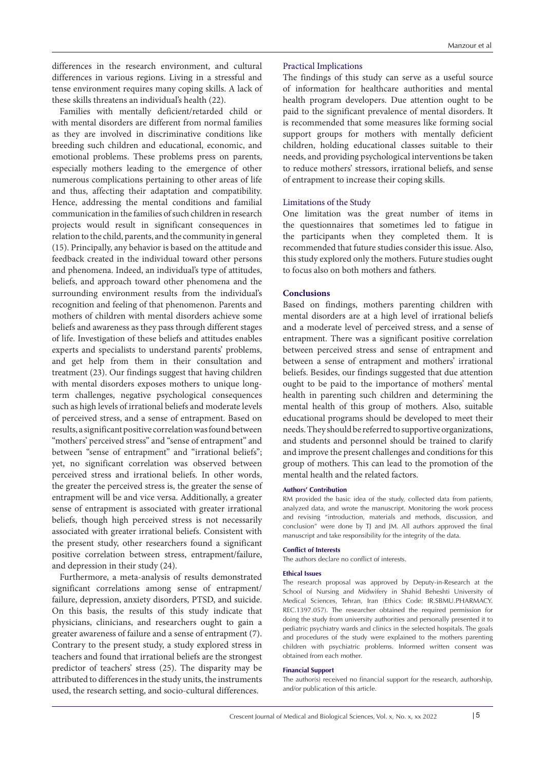differences in the research environment, and cultural differences in various regions. Living in a stressful and tense environment requires many coping skills. A lack of these skills threatens an individual's health (22).

Families with mentally deficient/retarded child or with mental disorders are different from normal families as they are involved in discriminative conditions like breeding such children and educational, economic, and emotional problems. These problems press on parents, especially mothers leading to the emergence of other numerous complications pertaining to other areas of life and thus, affecting their adaptation and compatibility. Hence, addressing the mental conditions and familial communication in the families of such children in research projects would result in significant consequences in relation to the child, parents, and the community in general (15). Principally, any behavior is based on the attitude and feedback created in the individual toward other persons and phenomena. Indeed, an individual's type of attitudes, beliefs, and approach toward other phenomena and the surrounding environment results from the individual's recognition and feeling of that phenomenon. Parents and mothers of children with mental disorders achieve some beliefs and awareness as they pass through different stages of life. Investigation of these beliefs and attitudes enables experts and specialists to understand parents' problems, and get help from them in their consultation and treatment (23). Our findings suggest that having children with mental disorders exposes mothers to unique longterm challenges, negative psychological consequences such as high levels of irrational beliefs and moderate levels of perceived stress, and a sense of entrapment. Based on results, a significant positive correlation was found between "mothers' perceived stress" and "sense of entrapment" and between "sense of entrapment" and "irrational beliefs"; yet, no significant correlation was observed between perceived stress and irrational beliefs. In other words, the greater the perceived stress is, the greater the sense of entrapment will be and vice versa. Additionally, a greater sense of entrapment is associated with greater irrational beliefs, though high perceived stress is not necessarily associated with greater irrational beliefs. Consistent with the present study, other researchers found a significant positive correlation between stress, entrapment/failure, and depression in their study (24).

Furthermore, a meta-analysis of results demonstrated significant correlations among sense of entrapment/ failure, depression, anxiety disorders, PTSD, and suicide. On this basis, the results of this study indicate that physicians, clinicians, and researchers ought to gain a greater awareness of failure and a sense of entrapment (7). Contrary to the present study, a study explored stress in teachers and found that irrational beliefs are the strongest predictor of teachers' stress (25). The disparity may be attributed to differences in the study units, the instruments used, the research setting, and socio-cultural differences.

# Practical Implications

The findings of this study can serve as a useful source of information for healthcare authorities and mental health program developers. Due attention ought to be paid to the significant prevalence of mental disorders. It is recommended that some measures like forming social support groups for mothers with mentally deficient children, holding educational classes suitable to their needs, and providing psychological interventions be taken to reduce mothers' stressors, irrational beliefs, and sense of entrapment to increase their coping skills.

### Limitations of the Study

One limitation was the great number of items in the questionnaires that sometimes led to fatigue in the participants when they completed them. It is recommended that future studies consider this issue. Also, this study explored only the mothers. Future studies ought to focus also on both mothers and fathers.

## **Conclusions**

Based on findings, mothers parenting children with mental disorders are at a high level of irrational beliefs and a moderate level of perceived stress, and a sense of entrapment. There was a significant positive correlation between perceived stress and sense of entrapment and between a sense of entrapment and mothers' irrational beliefs. Besides, our findings suggested that due attention ought to be paid to the importance of mothers' mental health in parenting such children and determining the mental health of this group of mothers. Also, suitable educational programs should be developed to meet their needs. They should be referred to supportive organizations, and students and personnel should be trained to clarify and improve the present challenges and conditions for this group of mothers. This can lead to the promotion of the mental health and the related factors.

#### **Authors' Contribution**

RM provided the basic idea of the study, collected data from patients, analyzed data, and wrote the manuscript. Monitoring the work process and revising "introduction, materials and methods, discussion, and conclusion" were done by TJ and JM. All authors approved the final manuscript and take responsibility for the integrity of the data.

#### **Conflict of Interests**

The authors declare no conflict of interests.

#### **Ethical Issues**

The research proposal was approved by Deputy-in-Research at the School of Nursing and Midwifery in Shahid Beheshti University of Medical Sciences, Tehran, Iran (Ethics Code: IR.SBMU.PHARMACY. REC.1397.057). The researcher obtained the required permission for doing the study from university authorities and personally presented it to pediatric psychiatry wards and clinics in the selected hospitals. The goals and procedures of the study were explained to the mothers parenting children with psychiatric problems. Informed written consent was obtained from each mother.

#### **Financial Support**

The author(s) received no financial support for the research, authorship, and/or publication of this article.